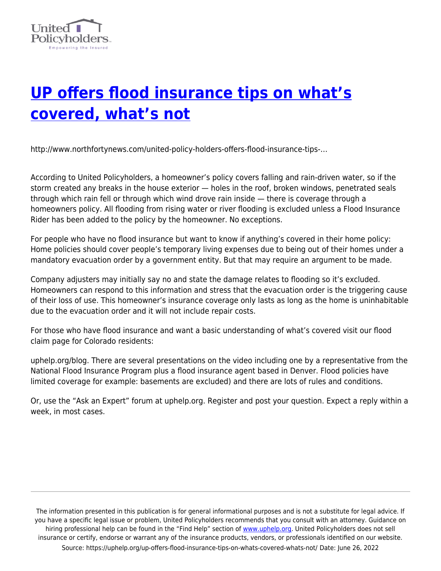

## **[UP offers flood insurance tips on what's](https://uphelp.org/up-offers-flood-insurance-tips-on-whats-covered-whats-not/) [covered, what's not](https://uphelp.org/up-offers-flood-insurance-tips-on-whats-covered-whats-not/)**

http://www.northfortynews.com/united-policy-holders-offers-flood-insurance-tips-…

According to United Policyholders, a homeowner's policy covers falling and rain-driven water, so if the storm created any breaks in the house exterior — holes in the roof, broken windows, penetrated seals through which rain fell or through which wind drove rain inside — there is coverage through a homeowners policy. All flooding from rising water or river flooding is excluded unless a Flood Insurance Rider has been added to the policy by the homeowner. No exceptions.

For people who have no flood insurance but want to know if anything's covered in their home policy: Home policies should cover people's temporary living expenses due to being out of their homes under a mandatory evacuation order by a government entity. But that may require an argument to be made.

Company adjusters may initially say no and state the damage relates to flooding so it's excluded. Homeowners can respond to this information and stress that the evacuation order is the triggering cause of their loss of use. This homeowner's insurance coverage only lasts as long as the home is uninhabitable due to the evacuation order and it will not include repair costs.

For those who have flood insurance and want a basic understanding of what's covered visit our flood claim page for Colorado residents:

uphelp.org/blog. There are several presentations on the video including one by a representative from the National Flood Insurance Program plus a flood insurance agent based in Denver. Flood policies have limited coverage for example: basements are excluded) and there are lots of rules and conditions.

Or, use the "Ask an Expert" forum at uphelp.org. Register and post your question. Expect a reply within a week, in most cases.

The information presented in this publication is for general informational purposes and is not a substitute for legal advice. If you have a specific legal issue or problem, United Policyholders recommends that you consult with an attorney. Guidance on hiring professional help can be found in the "Find Help" section of [www.uphelp.org.](http://www.uphelp.org/) United Policyholders does not sell insurance or certify, endorse or warrant any of the insurance products, vendors, or professionals identified on our website. Source: https://uphelp.org/up-offers-flood-insurance-tips-on-whats-covered-whats-not/ Date: June 26, 2022